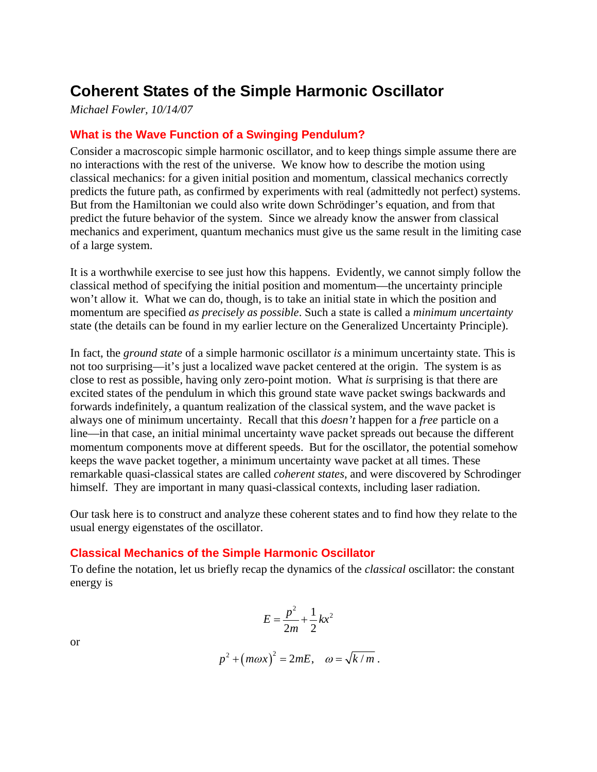# **Coherent States of the Simple Harmonic Oscillator**

*Michael Fowler, 10/14/07*

# **What is the Wave Function of a Swinging Pendulum?**

Consider a macroscopic simple harmonic oscillator, and to keep things simple assume there are no interactions with the rest of the universe. We know how to describe the motion using classical mechanics: for a given initial position and momentum, classical mechanics correctly predicts the future path, as confirmed by experiments with real (admittedly not perfect) systems. But from the Hamiltonian we could also write down Schrödinger's equation, and from that predict the future behavior of the system. Since we already know the answer from classical mechanics and experiment, quantum mechanics must give us the same result in the limiting case of a large system.

It is a worthwhile exercise to see just how this happens. Evidently, we cannot simply follow the classical method of specifying the initial position and momentum—the uncertainty principle won't allow it. What we can do, though, is to take an initial state in which the position and momentum are specified *as precisely as possible*. Such a state is called a *minimum uncertainty* state (the details can be found in my earlier lecture on the Generalized Uncertainty Principle).

In fact, the *ground state* of a simple harmonic oscillator *is* a minimum uncertainty state. This is not too surprising—it's just a localized wave packet centered at the origin. The system is as close to rest as possible, having only zero-point motion. What *is* surprising is that there are excited states of the pendulum in which this ground state wave packet swings backwards and forwards indefinitely, a quantum realization of the classical system, and the wave packet is always one of minimum uncertainty. Recall that this *doesn't* happen for a *free* particle on a line—in that case, an initial minimal uncertainty wave packet spreads out because the different momentum components move at different speeds. But for the oscillator, the potential somehow keeps the wave packet together, a minimum uncertainty wave packet at all times. These remarkable quasi-classical states are called *coherent states*, and were discovered by Schrodinger himself. They are important in many quasi-classical contexts, including laser radiation.

Our task here is to construct and analyze these coherent states and to find how they relate to the usual energy eigenstates of the oscillator.

# **Classical Mechanics of the Simple Harmonic Oscillator**

To define the notation, let us briefly recap the dynamics of the *classical* oscillator: the constant energy is

$$
E = \frac{p^2}{2m} + \frac{1}{2}kx^2
$$

or

$$
p^2 + (m\omega x)^2 = 2mE, \quad \omega = \sqrt{k/m}.
$$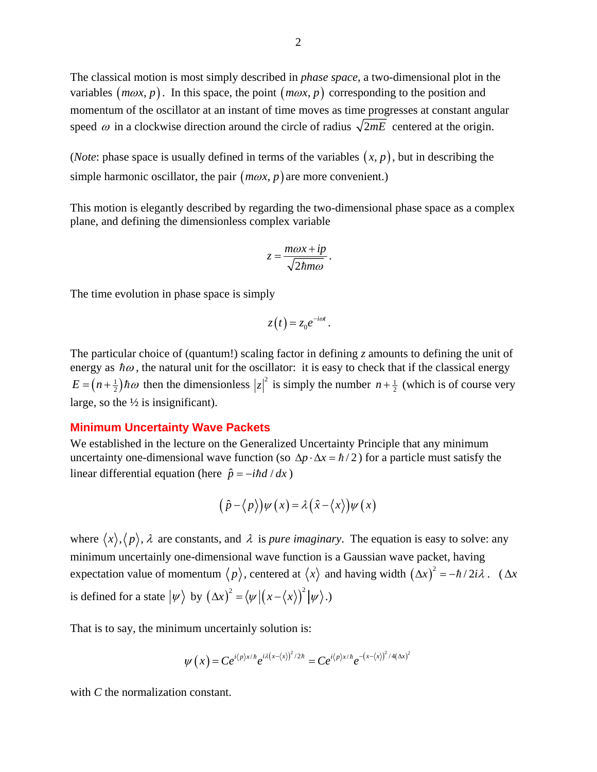The classical motion is most simply described in *phase space*, a two-dimensional plot in the variables  $(m\omega x, p)$ . In this space, the point  $(m\omega x, p)$  corresponding to the position and momentum of the oscillator at an instant of time moves as time progresses at constant angular speed  $\omega$  in a clockwise direction around the circle of radius  $\sqrt{2mE}$  centered at the origin.

(*Note*: phase space is usually defined in terms of the variables  $(x, p)$ , but in describing the simple harmonic oscillator, the pair  $(m\omega x, p)$  are more convenient.)

This motion is elegantly described by regarding the two-dimensional phase space as a complex plane, and defining the dimensionless complex variable

$$
z = \frac{m\omega x + ip}{\sqrt{2\hbar m\omega}}.
$$

The time evolution in phase space is simply

$$
z(t)=z_0e^{-i\omega t}.
$$

The particular choice of (quantum!) scaling factor in defining *z* amounts to defining the unit of energy as  $\hbar\omega$ , the natural unit for the oscillator: it is easy to check that if the classical energy  $E = (n + \frac{1}{2})\hbar\omega$  then the dimensionless  $|z|^2$  is simply the number  $n + \frac{1}{2}$  (which is of course very large, so the  $\frac{1}{2}$  is insignificant).

#### **Minimum Uncertainty Wave Packets**

We established in the lecture on the Generalized Uncertainty Principle that any minimum uncertainty one-dimensional wave function (so  $\Delta p \cdot \Delta x = \hbar/2$ ) for a particle must satisfy the linear differential equation (here  $\hat{p} = -i\hbar d/dx$ )

$$
(\hat{p} - \langle p \rangle) \psi(x) = \lambda (\hat{x} - \langle x \rangle) \psi(x)
$$

where  $\langle x \rangle, \langle p \rangle$ ,  $\lambda$  are constants, and  $\lambda$  is *pure imaginary*. The equation is easy to solve: any minimum uncertainly one-dimensional wave function is a Gaussian wave packet, having expectation value of momentum  $\langle p \rangle$ , centered at  $\langle x \rangle$  and having width  $(\Delta x)^2 = -\hbar/2i\lambda$ . ( $\Delta x$ is defined for a state  $|\psi\rangle$  by  $(\Delta x)^2 = \langle \psi | (x - \langle x \rangle)^2 | \psi \rangle$ .)

That is to say, the minimum uncertainly solution is:

$$
\psi(x) = Ce^{i\langle p\rangle x/\hbar} e^{i\lambda(x-\langle x\rangle)^2/2\hbar} = Ce^{i\langle p\rangle x/\hbar} e^{-(x-\langle x\rangle)^2/4(\Delta x)^2}
$$

with *C* the normalization constant.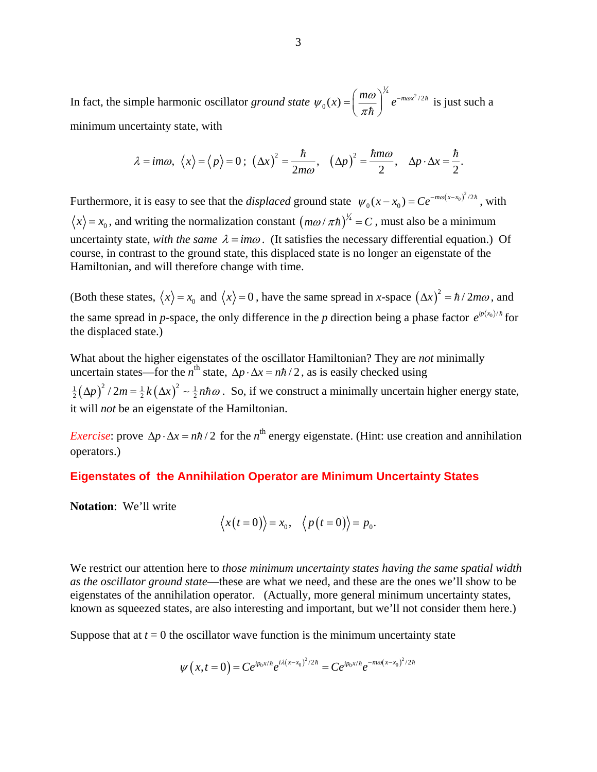In fact, the simple harmonic oscillator *ground state*  $\psi_0(x) = \left(\frac{m\omega}{\pi\hbar}\right)^{\frac{1}{4}} e^{-m\omega x^2/2\hbar}$  is just such a minimum uncertainty state, with

$$
\lambda = \text{im}\omega, \ \langle x \rangle = \langle p \rangle = 0; \ \left(\Delta x\right)^2 = \frac{\hbar}{2m\omega}, \ \left(\Delta p\right)^2 = \frac{\hbar m\omega}{2}, \ \ \Delta p \cdot \Delta x = \frac{\hbar}{2}.
$$

Furthermore, it is easy to see that the *displaced* ground state  $\psi_0(x - x_0) = Ce^{-m\omega(x - x_0)^2/2\hbar}$ , with  $\langle x \rangle = x_0$ , and writing the normalization constant  $(m\omega/\pi\hbar)^{\frac{1}{4}} = C$ , must also be a minimum uncertainty state, *with the same*  $\lambda = im\omega$ . (It satisfies the necessary differential equation.) Of course, in contrast to the ground state, this displaced state is no longer an eigenstate of the Hamiltonian, and will therefore change with time.

(Both these states,  $\langle x \rangle = x_0$  and  $\langle x \rangle = 0$ , have the same spread in *x*-space  $(\Delta x)^2 = \hbar / 2m\omega$ , and the same spread in *p*-space, the only difference in the *p* direction being a phase factor  $e^{ip(x_0)/\hbar}$  for the displaced state.)

What about the higher eigenstates of the oscillator Hamiltonian? They are *not* minimally uncertain states—for the  $n^{\text{th}}$  state,  $\Delta p \cdot \Delta x = n\hbar/2$ , as is easily checked using  $\frac{1}{2}(\Delta p)^2 / 2m = \frac{1}{2}k(\Delta x)^2 \sim \frac{1}{2}n\hbar\omega$ . So, if we construct a minimally uncertain higher energy state, it will *not* be an eigenstate of the Hamiltonian.

*Exercise*: prove  $\Delta p \cdot \Delta x = n\hbar/2$  for the *n*<sup>th</sup> energy eigenstate. (Hint: use creation and annihilation operators.)

# **Eigenstates of the Annihilation Operator are Minimum Uncertainty States**

**Notation**: We'll write

$$
\langle x(t=0)\rangle = x_0, \quad \langle p(t=0)\rangle = p_0.
$$

We restrict our attention here to *those minimum uncertainty states having the same spatial width as the oscillator ground state*—these are what we need, and these are the ones we'll show to be eigenstates of the annihilation operator. (Actually, more general minimum uncertainty states, known as squeezed states, are also interesting and important, but we'll not consider them here.)

Suppose that at  $t = 0$  the oscillator wave function is the minimum uncertainty state

$$
\psi(x,t=0) = Ce^{ip_0x/\hbar}e^{i\lambda(x-x_0)^2/2\hbar} = Ce^{ip_0x/\hbar}e^{-m\omega(x-x_0)^2/2\hbar}
$$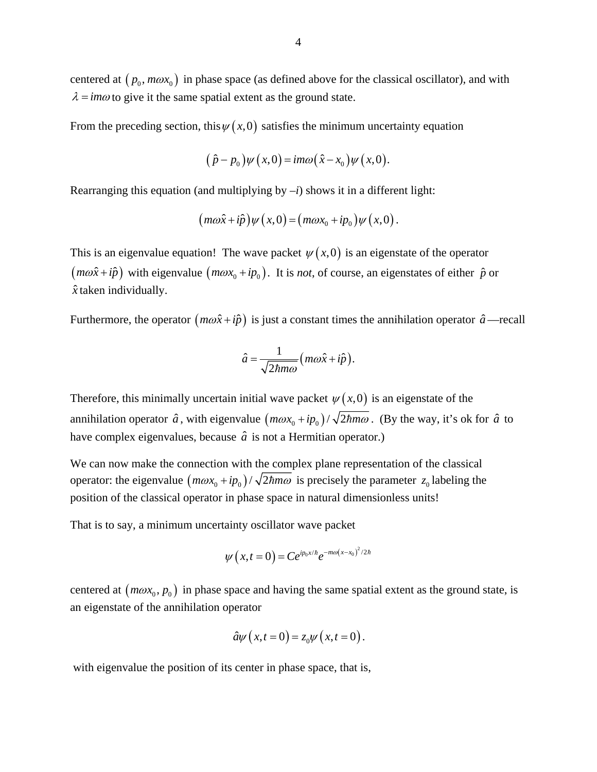centered at  $(p_0, m\omega x_0)$  in phase space (as defined above for the classical oscillator), and with  $\lambda = im\omega$  to give it the same spatial extent as the ground state.

From the preceding section, this  $\psi(x,0)$  satisfies the minimum uncertainty equation

$$
(\hat{p}-p_0)\psi(x,0)=\mathrm{im}\omega(\hat{x}-x_0)\psi(x,0).
$$

Rearranging this equation (and multiplying by  $-i$ ) shows it in a different light:

$$
(m\omega \hat{x} + i\hat{p})\psi(x,0) = (m\omega x_0 + i p_0)\psi(x,0).
$$

This is an eigenvalue equation! The wave packet  $\psi(x,0)$  is an eigenstate of the operator  $(m\omega \hat{x} + i\hat{p})$  with eigenvalue  $(m\omega x_0 + i p_0)$ . It is *not*, of course, an eigenstates of either  $\hat{p}$  or *x*ˆ taken individually.

Furthermore, the operator  $(m\omega \hat{x} + i\hat{p})$  is just a constant times the annihilation operator  $\hat{a}$ —recall

$$
\hat{a} = \frac{1}{\sqrt{2\hbar m\omega}} \left( m\omega \hat{x} + i\hat{p} \right).
$$

Therefore, this minimally uncertain initial wave packet  $\psi(x,0)$  is an eigenstate of the annihilation operator  $\hat{a}$ , with eigenvalue  $\left(\frac{m\omega x_0 + ip_0}{\sqrt{2\hbar m\omega}}\right)$ . (By the way, it's ok for  $\hat{a}$  to have complex eigenvalues, because  $\hat{a}$  is not a Hermitian operator.)

We can now make the connection with the complex plane representation of the classical operator: the eigenvalue  $(m\omega x_0 + ip_0)/\sqrt{2\hbar m\omega}$  is precisely the parameter  $z_0$  labeling the position of the classical operator in phase space in natural dimensionless units!

That is to say, a minimum uncertainty oscillator wave packet

$$
\psi(x,t=0) = Ce^{ip_0x/\hbar}e^{-m\omega(x-x_0)^2/2\hbar}
$$

centered at  $(m\omega x_0, p_0)$  in phase space and having the same spatial extent as the ground state, is an eigenstate of the annihilation operator

$$
\hat{a}\psi\left(x,t=0\right)=z_0\psi\left(x,t=0\right).
$$

with eigenvalue the position of its center in phase space, that is,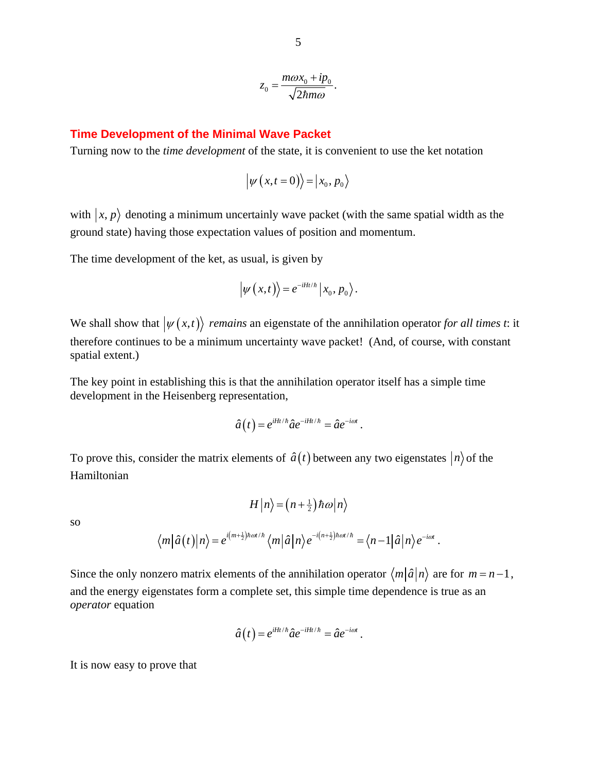$$
z_0 = \frac{m\omega x_0 + ip_0}{\sqrt{2\hbar m\omega}}.
$$

#### **Time Development of the Minimal Wave Packet**

Turning now to the *time development* of the state, it is convenient to use the ket notation

$$
\left|\psi\left(x,t=0\right)\right\rangle = \left|x_0, p_0\right\rangle
$$

with  $|x, p\rangle$  denoting a minimum uncertainly wave packet (with the same spatial width as the ground state) having those expectation values of position and momentum.

The time development of the ket, as usual, is given by

$$
\left|\psi(x,t)\right\rangle=e^{-iHt/\hbar}\left|x_{0},p_{0}\right\rangle.
$$

We shall show that  $|\psi(x,t)\rangle$  *remains* an eigenstate of the annihilation operator for all times *t*: it therefore continues to be a minimum uncertainty wave packet! (And, of course, with constant spatial extent.)

The key point in establishing this is that the annihilation operator itself has a simple time development in the Heisenberg representation,

$$
\hat{a}(t) = e^{iHt/\hbar} \hat{a} e^{-iHt/\hbar} = \hat{a} e^{-i\omega t}.
$$

To prove this, consider the matrix elements of  $\hat{a}(t)$  between any two eigenstates  $|n\rangle$  of the Hamiltonian

$$
H\left|n\right\rangle =\left(n+\frac{1}{2}\right)\hbar\omega\left|n\right\rangle
$$

so

$$
\langle m|\hat{a}(t)|n\rangle = e^{i(m+\frac{1}{2})\hbar\omega t/\hbar} \langle m|\hat{a}|n\rangle e^{-i(n+\frac{1}{2})\hbar\omega t/\hbar} = \langle n-1|\hat{a}|n\rangle e^{-i\omega t}.
$$

Since the only nonzero matrix elements of the annihilation operator  $\langle m|\hat{a}|n\rangle$  are for  $m = n - 1$ , and the energy eigenstates form a complete set, this simple time dependence is true as an *operator* equation

$$
\hat{a}(t) = e^{iHt/\hbar} \hat{a} e^{-iHt/\hbar} = \hat{a} e^{-i\omega t}.
$$

It is now easy to prove that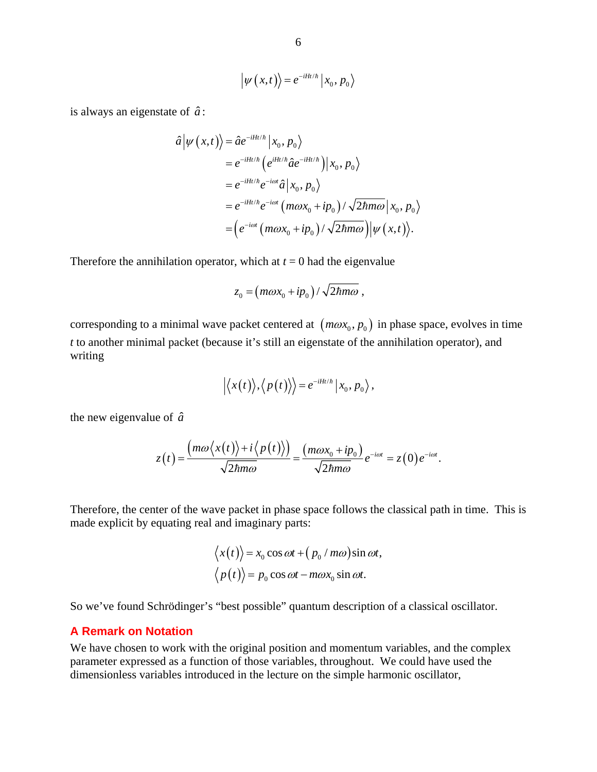$$
\left|\psi\left(x,t\right)\right\rangle=e^{-iHt/\hbar}\left|x_{0},p_{0}\right\rangle
$$

is always an eigenstate of  $\hat{a}$ :

$$
\hat{a}|\psi(x,t)\rangle = \hat{a}e^{-iHt/\hbar}|x_0, p_0\rangle
$$
  
\n
$$
= e^{-iHt/\hbar} (e^{iHt/\hbar} \hat{a}e^{-iHt/\hbar})|x_0, p_0\rangle
$$
  
\n
$$
= e^{-iHt/\hbar} e^{-i\omega t} \hat{a}|x_0, p_0\rangle
$$
  
\n
$$
= e^{-iHt/\hbar} e^{-i\omega t} (m\omega x_0 + ip_0) / \sqrt{2\hbar m\omega}|x_0, p_0\rangle
$$
  
\n
$$
= (e^{-i\omega t} (m\omega x_0 + ip_0) / \sqrt{2\hbar m\omega})|\psi(x,t)\rangle.
$$

Therefore the annihilation operator, which at  $t = 0$  had the eigenvalue

$$
z_0 = (m\omega x_0 + ip_0) / \sqrt{2\hbar m\omega} ,
$$

corresponding to a minimal wave packet centered at  $(m\omega x_0, p_0)$  in phase space, evolves in time *t* to another minimal packet (because it's still an eigenstate of the annihilation operator), and writing

$$
\left|\left\langle x(t)\right\rangle,\left\langle p(t)\right\rangle\right\rangle=e^{-iHt/\hbar}\left|x_{0},p_{0}\right\rangle,
$$

the new eigenvalue of  $\hat{a}$ 

$$
z(t) = \frac{(m\omega\langle x(t)\rangle + i\langle p(t)\rangle)}{\sqrt{2\hbar m\omega}} = \frac{(m\omega x_0 + ip_0)}{\sqrt{2\hbar m\omega}}e^{-i\omega t} = z(0)e^{-i\omega t}.
$$

Therefore, the center of the wave packet in phase space follows the classical path in time. This is made explicit by equating real and imaginary parts:

$$
\langle x(t) \rangle = x_0 \cos \omega t + (p_0 / m\omega) \sin \omega t,
$$
  
 
$$
\langle p(t) \rangle = p_0 \cos \omega t - m\omega x_0 \sin \omega t.
$$

So we've found Schrödinger's "best possible" quantum description of a classical oscillator.

#### **A Remark on Notation**

We have chosen to work with the original position and momentum variables, and the complex parameter expressed as a function of those variables, throughout. We could have used the dimensionless variables introduced in the lecture on the simple harmonic oscillator,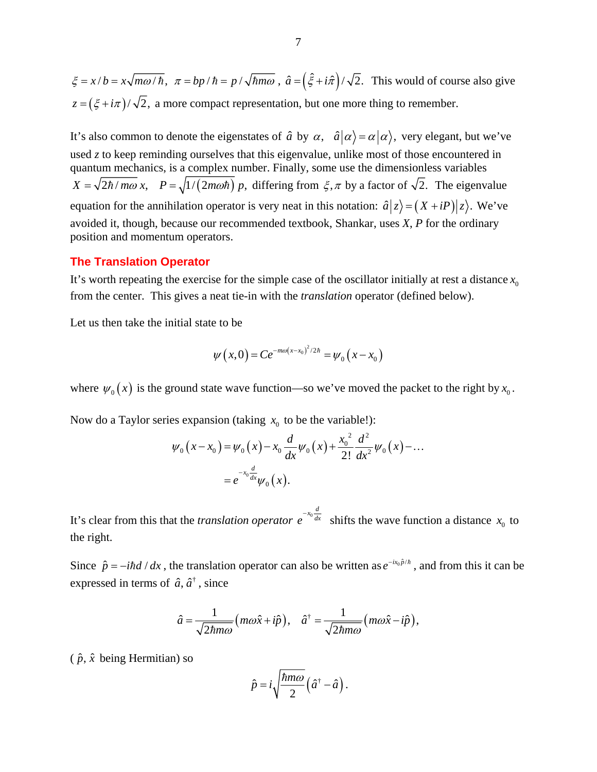$\zeta = x/b = x\sqrt{m\omega/\hbar}$ ,  $\pi = bp/\hbar = p/\sqrt{\hbar m\omega}$ ,  $\hat{a} = (\hat{\zeta} + i\hat{\pi})/\sqrt{2}$ . This would of course also give  $z = (\xi + i\pi)/\sqrt{2}$ , a more compact representation, but one more thing to remember.

It's also common to denote the eigenstates of  $\hat{a}$  by  $\alpha$ ,  $\hat{a}|\alpha\rangle = \alpha|\alpha\rangle$ , very elegant, but we've used *z* to keep reminding ourselves that this eigenvalue, unlike most of those encountered in quantum mechanics, is a complex number. Finally, some use the dimensionless variables  $X = \sqrt{\frac{2\hbar}{m\omega}} x$ ,  $P = \sqrt{\frac{1}{(2m\omega\hbar)}} p$ , differing from  $\xi, \pi$  by a factor of  $\sqrt{2}$ . The eigenvalue equation for the annihilation operator is very neat in this notation:  $\hat{a}|z\rangle = (X + iP)|z\rangle$ . We've avoided it, though, because our recommended textbook, Shankar, uses *X*, *P* for the ordinary position and momentum operators.

#### **The Translation Operator**

It's worth repeating the exercise for the simple case of the oscillator initially at rest a distance  $x_0$ from the center. This gives a neat tie-in with the *translation* operator (defined below).

Let us then take the initial state to be

$$
\psi(x,0) = Ce^{-m\omega(x-x_0)^2/2\hbar} = \psi_0(x-x_0)
$$

where  $\psi_0(x)$  is the ground state wave function—so we've moved the packet to the right by  $x_0$ .

Now do a Taylor series expansion (taking  $x_0$  to be the variable!):

$$
\psi_0(x - x_0) = \psi_0(x) - x_0 \frac{d}{dx} \psi_0(x) + \frac{x_0^2}{2!} \frac{d^2}{dx^2} \psi_0(x) - \dots
$$
  
=  $e^{-x_0} \frac{d}{dx} \psi_0(x)$ .

It's clear from this that the *translation operator*  $e^{-x_0} \frac{d}{dx}$  shifts the wave function a distance  $x_0$  to the right.

Since  $\hat{p} = -i\hbar d / dx$ , the translation operator can also be written as  $e^{-ix_0\hat{p}/\hbar}$ , and from this it can be expressed in terms of  $\hat{a}$ ,  $\hat{a}^{\dagger}$ , since

$$
\hat{a} = \frac{1}{\sqrt{2\hbar m\omega}} \big( m\omega \hat{x} + i\hat{p} \big), \quad \hat{a}^{\dagger} = \frac{1}{\sqrt{2\hbar m\omega}} \big( m\omega \hat{x} - i\hat{p} \big),
$$

 $(\hat{p}, \hat{x})$  being Hermitian) so

$$
\hat{p} = i \sqrt{\frac{\hbar m \omega}{2}} \left( \hat{a}^\dagger - \hat{a} \right).
$$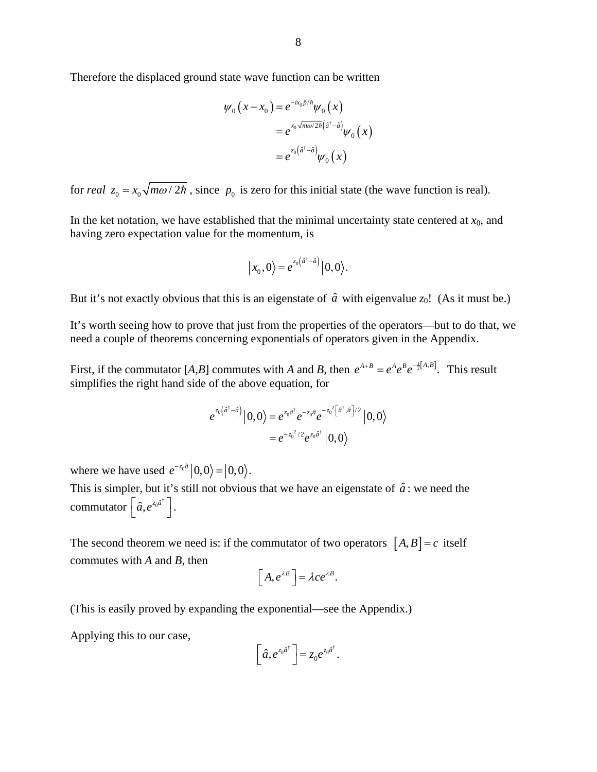Therefore the displaced ground state wave function can be written

$$
\psi_0(x - x_0) = e^{-ix_0\hat{p}/\hbar}\psi_0(x)
$$
  
=  $e^{x_0\sqrt{m\omega/2\hbar}(\hat{a}^{\dagger} - \hat{a})}\psi_0(x)$   
=  $e^{z_0(\hat{a}^{\dagger} - \hat{a})}\psi_0(x)$ 

for *real*  $z_0 = x_0 \sqrt{m\omega/2\hbar}$ , since  $p_0$  is zero for this initial state (the wave function is real).

In the ket notation, we have established that the minimal uncertainty state centered at  $x_0$ , and having zero expectation value for the momentum, is

$$
\big| x_0, 0 \big\rangle = e^{z_0 \left( \hat{a}^\dagger - \hat{a} \right)} \big| 0, 0 \big\rangle.
$$

But it's not exactly obvious that this is an eigenstate of  $\hat{a}$  with eigenvalue  $z_0$ ! (As it must be.)

It's worth seeing how to prove that just from the properties of the operators—but to do that, we need a couple of theorems concerning exponentials of operators given in the Appendix.

First, if the commutator [*A*,*B*] commutes with *A* and *B*, then  $e^{A+B} = e^{A}e^{B}e^{-\frac{1}{2}[A,B]}$ . This result simplifies the right hand side of the above equation, for

$$
e^{z_0(\hat{a}^{\dagger}-\hat{a})}\Big|0,0\rangle = e^{z_0\hat{a}^{\dagger}}e^{-z_0\hat{a}}e^{-z_0^2\big[\hat{a}^{\dagger},\hat{a}\big]/2}\Big|0,0\rangle
$$
  
=  $e^{-z_0^2/2}e^{z_0\hat{a}^{\dagger}}\Big|0,0\rangle$ 

where we have used  $e^{-z_0 \hat{a}} |0,0\rangle = |0,0\rangle$ .

This is simpler, but it's still not obvious that we have an eigenstate of  $\hat{a}$ : we need the commutator  $\left[ \hat{a}, e^{z_0 \hat{a}^\dagger} \right]$ .

The second theorem we need is: if the commutator of two operators  $[A, B] = c$  itself commutes with *A* and *B*, then

$$
\[A,e^{\lambda B}\] = \lambda c e^{\lambda B}.
$$

(This is easily proved by expanding the exponential—see the Appendix.)

Applying this to our case,

$$
\left[\hat{a},e^{z_0\hat{a}^\dagger}\right] = z_0e^{z_0\hat{a}^\dagger}.
$$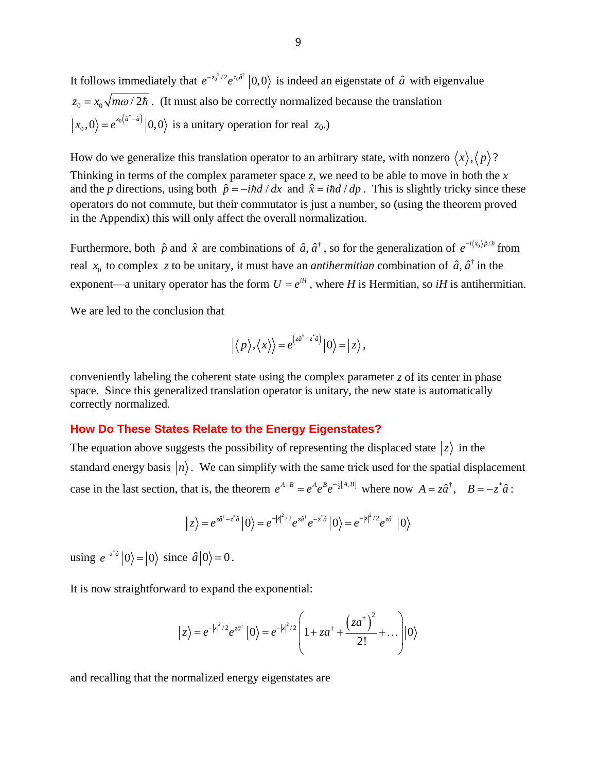It follows immediately that  $e^{-z_0^2/2}e^{z_0\hat{a}^{\dagger}}|0,0\rangle$  is indeed an eigenstate of  $\hat{a}$  with eigenvalue  $z_0 = x_0 \sqrt{m\omega/2\hbar}$ . (It must also be correctly normalized because the translation  $\langle x_0, 0 \rangle = e^{z_0(\hat{a}^{\dagger} - \hat{a})} |0, 0 \rangle$  is a unitary operation for real  $z_0$ .)

How do we generalize this translation operator to an arbitrary state, with nonzero  $\langle x \rangle$ ,  $\langle p \rangle$ ? Thinking in terms of the complex parameter space *z*, we need to be able to move in both the *x* and the *p* directions, using both  $\hat{p} = -i\hbar d/dx$  and  $\hat{x} = i\hbar d/dp$ . This is slightly tricky since these operators do not commute, but their commutator is just a number, so (using the theorem proved in the Appendix) this will only affect the overall normalization.

Furthermore, both  $\hat{p}$  and  $\hat{x}$  are combinations of  $\hat{a}$ ,  $\hat{a}^{\dagger}$ , so for the generalization of  $e^{-i(x_0)\hat{p}/\hbar}$  from real  $x_0$  to complex z to be unitary, it must have an *antihermitian* combination of  $\hat{a}$ ,  $\hat{a}^\dagger$  in the exponent—a unitary operator has the form  $U = e^{iH}$ , where *H* is Hermitian, so *iH* is antihermitian.

We are led to the conclusion that

$$
\left|\langle p\rangle,\langle x\rangle\right\rangle=e^{\left(z\hat{a}^{\dagger}-z^*\hat{a}\right)}\left|0\right\rangle=\left|z\right\rangle,
$$

conveniently labeling the coherent state using the complex parameter *z* of its center in phase space. Since this generalized translation operator is unitary, the new state is automatically correctly normalized.

# **How Do These States Relate to the Energy Eigenstates?**

The equation above suggests the possibility of representing the displaced state  $|z\rangle$  in the standard energy basis  $|n\rangle$ . We can simplify with the same trick used for the spatial displacement case in the last section, that is, the theorem  $e^{A+B} = e^A e^B e^{-\frac{1}{2}[A,B]}$  where now  $A = z\hat{a}^{\dagger}$ ,  $B = -z^* \hat{a}$ :

$$
|z\rangle = e^{z\hat{a}^\dagger - z^*\hat{a}}|0\rangle = e^{-|z|^2/2}e^{z\hat{a}^\dagger}e^{-z^*\hat{a}}|0\rangle = e^{-|z|^2/2}e^{z\hat{a}^\dagger}|0\rangle
$$

using  $e^{-z^a}$   $|0\rangle = |0\rangle$  since  $\hat{a}|0\rangle = 0$ .

It is now straightforward to expand the exponential:

$$
|z\rangle = e^{-|z|^2/2} e^{z\hat{a}^\dagger} |0\rangle = e^{-|z|^2/2} \left(1 + z a^\dagger + \frac{\left(za^\dagger\right)^2}{2!} + \dots\right) |0\rangle
$$

and recalling that the normalized energy eigenstates are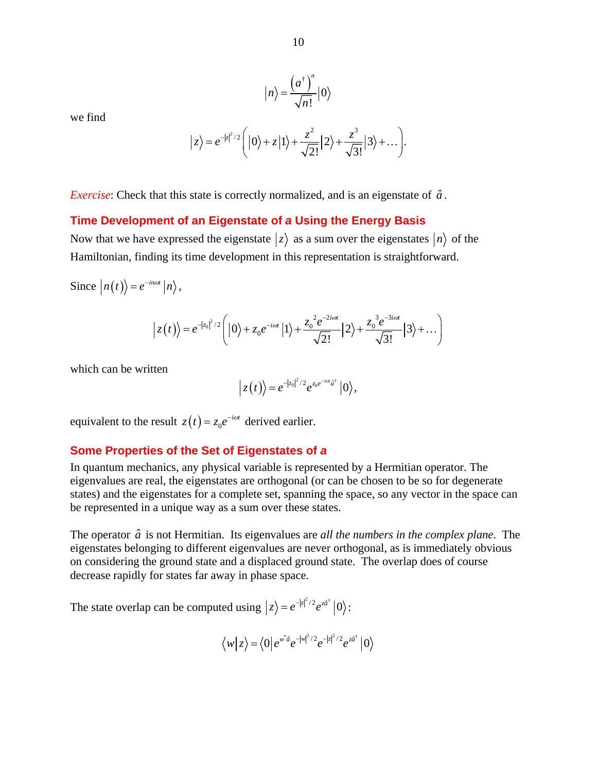we find

$$
|n\rangle = \frac{\left(a^{\dagger}\right)^n}{\sqrt{n!}}|0\rangle
$$

$$
|z\rangle = e^{-|z|^2/2} \bigg( |0\rangle + z |1\rangle + \frac{z^2}{\sqrt{2!}} |2\rangle + \frac{z^3}{\sqrt{3!}} |3\rangle + \dots \bigg).
$$

*Exercise*: Check that this state is correctly normalized, and is an eigenstate of  $\hat{a}$ .

## **Time Development of an Eigenstate of** *a* **Using the Energy Basis**

Now that we have expressed the eigenstate  $|z\rangle$  as a sum over the eigenstates  $|n\rangle$  of the Hamiltonian, finding its time development in this representation is straightforward.

Since  $|n(t)\rangle = e^{-in\omega t} |n\rangle$ ,

$$
\left|z(t)\right\rangle = e^{-|z_0|^2/2}\left(|0\rangle + z_0e^{-i\omega t}|1\rangle + \frac{z_0^2e^{-2i\omega t}}{\sqrt{2!}}|2\rangle + \frac{z_0^3e^{-3i\omega t}}{\sqrt{3!}}|3\rangle + \dots\right)
$$

which can be written

$$
\left|z(t)\right\rangle = e^{-|z_0|^2/2}e^{z_0e^{-i\omega t}\hat{a}^\dagger}\left|0\right\rangle,
$$

equivalent to the result  $z(t) = z_0 e^{-i\omega t}$  derived earlier.

## **Some Properties of the Set of Eigenstates of** *a*

In quantum mechanics, any physical variable is represented by a Hermitian operator. The eigenvalues are real, the eigenstates are orthogonal (or can be chosen to be so for degenerate states) and the eigenstates for a complete set, spanning the space, so any vector in the space can be represented in a unique way as a sum over these states.

The operator  $\hat{a}$  is not Hermitian. Its eigenvalues are *all the numbers in the complex plane*. The eigenstates belonging to different eigenvalues are never orthogonal, as is immediately obvious on considering the ground state and a displaced ground state. The overlap does of course decrease rapidly for states far away in phase space.

The state overlap can be computed using  $|z\rangle = e^{-|z|^2/2} e^{z\hat{a}^\dagger} |0\rangle$ :

$$
\langle w|z\rangle = \langle 0|e^{w^*\hat{a}}e^{-|w|^2/2}e^{-|z|^2/2}e^{z\hat{a}^{\dagger}}|0\rangle
$$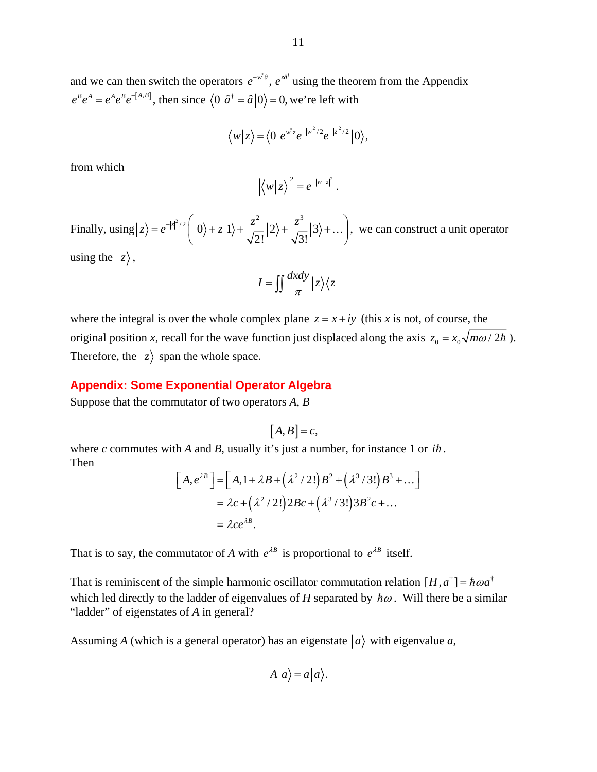and we can then switch the operators  $e^{-w^*\hat{a}}$ ,  $e^{z\hat{a}^{\dagger}}$  using the theorem from the Appendix  $e^{B}e^{A} = e^{A}e^{B}e^{-[A,B]}$ , then since  $\langle 0|\hat{a}^{\dagger} = \hat{a}|0\rangle = 0$ , we're left with

$$
\langle w|z\rangle = \langle 0|e^{w^*z}e^{-|w|^2/2}e^{-|z|^2/2}|0\rangle,
$$

from which

$$
\left|\left\langle w\right|z\right\rangle\right|^2=e^{-|w-z|^2}.
$$

Finally, using  $|z\rangle = e^{-|z|^2/2} \left( |0\rangle + z|1\rangle + \frac{z^2}{\sqrt{z^2}} |2\rangle + \frac{z^3}{\sqrt{z^3}} |3\rangle \right)$  $2!$   $\sqrt{3}!$  $\langle z \rangle = e^{-|z|^2/2} \left( |0\rangle + z|1\rangle + \frac{z^2}{\sqrt{2}} |2\rangle + \frac{z^3}{\sqrt{2}} |3\rangle + \frac{z^2}{\sqrt{2}} |3\rangle \right)$  $\begin{pmatrix} 1 & 1 & 1 \\ 1 & 1 & 1 \end{pmatrix}$   $\sqrt{2!}$   $\begin{pmatrix} 1 & 1 & 1 \\ 1 & 1 & 1 \end{pmatrix}$ ...,, we can construct a unit operator using the  $|z\rangle$ ,

$$
I = \iint \frac{dxdy}{\pi} |z\rangle \langle z|
$$

where the integral is over the whole complex plane  $z = x + iy$  (this *x* is not, of course, the original position *x*, recall for the wave function just displaced along the axis  $z_0 = x_0 \sqrt{m\omega/2\hbar}$ . Therefore, the  $|z\rangle$  span the whole space.

## **Appendix: Some Exponential Operator Algebra**

Suppose that the commutator of two operators *A*, *B*

$$
[A,B]=c,
$$

where *c* commutes with *A* and *B*, usually it's just a number, for instance 1 or  $i\hbar$ . Then

$$
[A,e^{\lambda B}] = [A,1+\lambda B + (\lambda^2/2!)B^2 + (\lambda^3/3!)B^3 + ...]
$$
  
=  $\lambda c + (\lambda^2/2!)2Bc + (\lambda^3/3!)3B^2c + ...$   
=  $\lambda ce^{\lambda B}$ .

That is to say, the commutator of *A* with  $e^{\lambda B}$  is proportional to  $e^{\lambda B}$  itself.

That is reminiscent of the simple harmonic oscillator commutation relation  $[H, a^{\dagger}] = \hbar \omega a^{\dagger}$ which led directly to the ladder of eigenvalues of *H* separated by  $\hbar \omega$ . Will there be a similar "ladder" of eigenstates of *A* in general?

Assuming A (which is a general operator) has an eigenstate  $|a\rangle$  with eigenvalue a,

$$
A|a\rangle = a|a\rangle.
$$